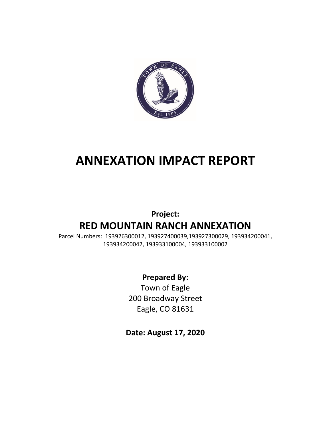

# **ANNEXATION IMPACT REPORT**

# **Project: RED MOUNTAIN RANCH ANNEXATION**

Parcel Numbers: 193926300012, 193927400039,193927300029, 193934200041, 193934200042, 193933100004, 193933100002

### **Prepared By:**

Town of Eagle 200 Broadway Street Eagle, CO 81631

**Date: August 17, 2020**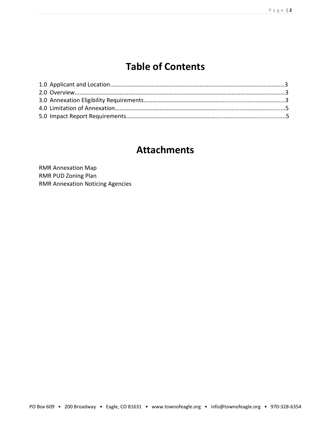# **Table of Contents**

### **Attachments**

RMR Annexation Map RMR PUD Zoning Plan RMR Annexation Noticing Agencies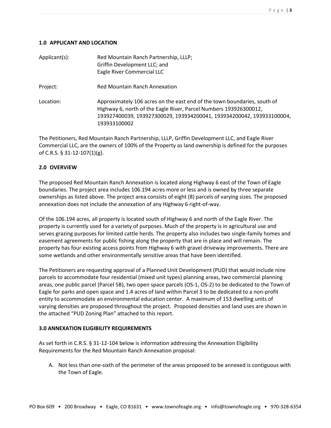#### **1.0 APPLICANT AND LOCATION**

| Applicant(s): | Red Mountain Ranch Partnership, LLLP;<br>Griffin Development LLC; and<br>Eagle River Commercial LLC                                                                                                                                    |
|---------------|----------------------------------------------------------------------------------------------------------------------------------------------------------------------------------------------------------------------------------------|
| Project:      | <b>Red Mountain Ranch Annexation</b>                                                                                                                                                                                                   |
| Location:     | Approximately 106 acres on the east end of the town boundaries, south of<br>Highway 6, north of the Eagle River, Parcel Numbers 193926300012,<br>193927400039, 193927300029, 193934200041, 193934200042, 193933100004,<br>193933100002 |

The Petitioners, Red Mountain Ranch Partnership, LLLP, Griffin Development LLC, and Eagle River Commercial LLC, are the owners of 100% of the Property as land ownership is defined for the purposes of C.R.S. § 31-12-107(1)(g).

#### **2.0 OVERVIEW**

The proposed Red Mountain Ranch Annexation is located along Highway 6 east of the Town of Eagle boundaries. The project area includes 106.194 acres more or less and is owned by three separate ownerships as listed above. The project area consists of eight (8) parcels of varying sizes. The proposed annexation does not include the annexation of any Highway 6 right-of-way.

Of the 106.194 acres, all property is located south of Highway 6 and north of the Eagle River. The property is currently used for a variety of purposes. Much of the property is in agricultural use and serves grazing purposes for limited cattle herds. The property also includes two single-family homes and easement agreements for public fishing along the property that are in place and will remain. The property has four existing access points from Highway 6 with gravel driveway improvements. There are some wetlands and other environmentally sensitive areas that have been identified.

The Petitioners are requesting approval of a Planned Unit Development (PUD) that would include nine parcels to accommodate four residential (mixed unit types) planning areas, two commercial planning areas, one public parcel (Parcel 5B), two open space parcels (OS-1, OS-2) to be dedicated to the Town of Eagle for parks and open space and 1.4 acres of land within Parcel 3 to be dedicated to a non-profit entity to accommodate an environmental education center. A maximum of 153 dwelling units of varying densities are proposed throughout the project. Proposed densities and land uses are shown in the attached "PUD Zoning Plan" attached to this report.

#### **3.0 ANNEXATION ELIGIBILITY REQUIREMENTS**

As set forth in C.R.S. § 31-12-104 below is information addressing the Annexation Eligibility Requirements for the Red Mountain Ranch Annexation proposal:

A. Not less than one‐sixth of the perimeter of the areas proposed to be annexed is contiguous with the Town of Eagle.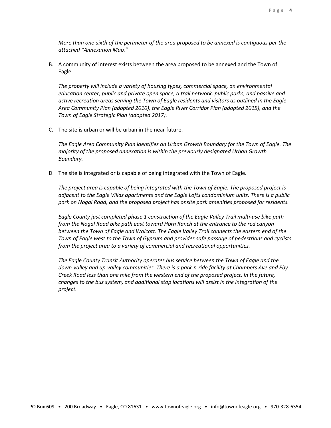*More than one-sixth of the perimeter of the area proposed to be annexed is contiguous per the attached "Annexation Map."*

B. A community of interest exists between the area proposed to be annexed and the Town of Eagle.

*The property will include a variety of housing types, commercial space, an environmental education center, public and private open space, a trail network, public parks, and passive and active recreation areas serving the Town of Eagle residents and visitors as outlined in the Eagle Area Community Plan (adopted 2010), the Eagle River Corridor Plan (adopted 2015), and the Town of Eagle Strategic Plan (adopted 2017).* 

C. The site is urban or will be urban in the near future.

*The Eagle Area Community Plan identifies an Urban Growth Boundary for the Town of Eagle. The majority of the proposed annexation is within the previously designated Urban Growth Boundary.* 

D. The site is integrated or is capable of being integrated with the Town of Eagle.

*The project area is capable of being integrated with the Town of Eagle. The proposed project is adjacent to the Eagle Villas apartments and the Eagle Lofts condominium units. There is a public park on Nogal Road, and the proposed project has onsite park amenities proposed for residents.*

*Eagle County just completed phase 1 construction of the Eagle Valley Trail multi-use bike path from the Nogal Road bike path east toward Horn Ranch at the entrance to the red canyon between the Town of Eagle and Wolcott. The Eagle Valley Trail connects the eastern end of the Town of Eagle west to the Town of Gypsum and provides safe passage of pedestrians and cyclists from the project area to a variety of commercial and recreational opportunities.* 

*The Eagle County Transit Authority operates bus service between the Town of Eagle and the down-valley and up-valley communities. There is a park-n-ride facility at Chambers Ave and Eby Creek Road less than one mile from the western end of the proposed project. In the future, changes to the bus system, and additional stop locations will assist in the integration of the project.*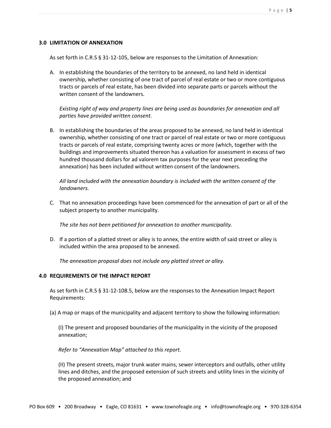#### **3.0 LIMITATION OF ANNEXATION**

As set forth in C.R.S § 31-12-105, below are responses to the Limitation of Annexation:

A. In establishing the boundaries of the territory to be annexed, no land held in identical ownership, whether consisting of one tract of parcel of real estate or two or more contiguous tracts or parcels of real estate, has been divided into separate parts or parcels without the written consent of the landowners.

*Existing right of way and property lines are being used as boundaries for annexation and all parties have provided written consent.*

B. In establishing the boundaries of the areas proposed to be annexed, no land held in identical ownership, whether consisting of one tract or parcel of real estate or two or more contiguous tracts or parcels of real estate, comprising twenty acres or more (which, together with the buildings and improvements situated thereon has a valuation for assessment in excess of two hundred thousand dollars for ad valorem tax purposes for the year next preceding the annexation) has been included without written consent of the landowners.

*All land included with the annexation boundary is included with the written consent of the landowners.*

C. That no annexation proceedings have been commenced for the annexation of part or all of the subject property to another municipality.

*The site has not been petitioned for annexation to another municipality.*

D. If a portion of a platted street or alley is to annex, the entire width of said street or alley is included within the area proposed to be annexed.

*The annexation proposal does not include any platted street or alley.*

#### **4.0 REQUIREMENTS OF THE IMPACT REPORT**

As set forth in C.R.S § 31-12-108.5, below are the responses to the Annexation Impact Report Requirements:

(a) A map or maps of the municipality and adjacent territory to show the following information:

(I) The present and proposed boundaries of the municipality in the vicinity of the proposed annexation;

*Refer to "Annexation Map" attached to this report.*

(II) The present streets, major trunk water mains, sewer interceptors and outfalls, other utility lines and ditches, and the proposed extension of such streets and utility lines in the vicinity of the proposed annexation; and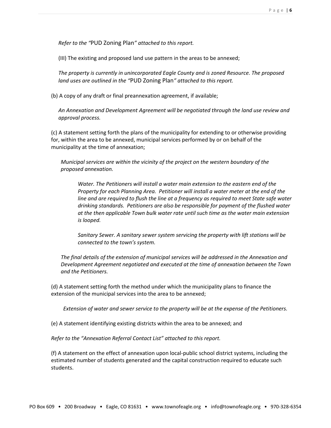*Refer to the "*PUD Zoning Plan*" attached to this report.* 

(III) The existing and proposed land use pattern in the areas to be annexed;

*The property is currently in unincorporated Eagle County and is zoned Resource. The proposed land uses are outlined in the "*PUD Zoning Plan*" attached to this report.* 

(b) A copy of any draft or final preannexation agreement, if available;

*An Annexation and Development Agreement will be negotiated through the land use review and approval process.* 

(c) A statement setting forth the plans of the municipality for extending to or otherwise providing for, within the area to be annexed, municipal services performed by or on behalf of the municipality at the time of annexation;

*Municipal services are within the vicinity of the project on the western boundary of the proposed annexation.* 

*Water. The Petitioners will install a water main extension to the eastern end of the Property for each Planning Area. Petitioner will install a water meter at the end of the line and are required to flush the line at a frequency as required to meet State safe water drinking standards. Petitioners are also be responsible for payment of the flushed water at the then applicable Town bulk water rate until such time as the water main extension is looped.* 

*Sanitary Sewer. A sanitary sewer system servicing the property with lift stations will be connected to the town's system.*

*The final details of the extension of municipal services will be addressed in the Annexation and Development Agreement negotiated and executed at the time of annexation between the Town and the Petitioners.* 

(d) A statement setting forth the method under which the municipality plans to finance the extension of the municipal services into the area to be annexed;

*Extension of water and sewer service to the property will be at the expense of the Petitioners.*

(e) A statement identifying existing districts within the area to be annexed; and

*Refer to the "Annexation Referral Contact List" attached to this report.*

(f) A statement on the effect of annexation upon local-public school district systems, including the estimated number of students generated and the capital construction required to educate such students.